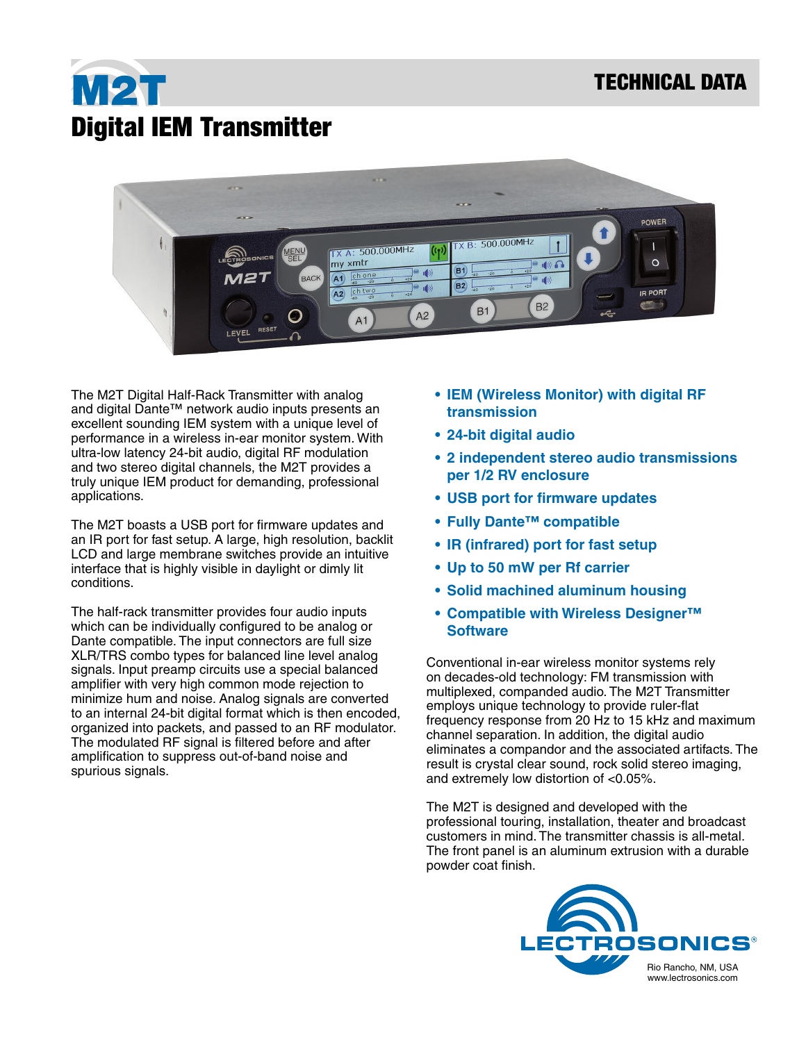## M2T Digital IEM Transmitter



The M2T Digital Half-Rack Transmitter with analog and digital Dante™ network audio inputs presents an excellent sounding IEM system with a unique level of performance in a wireless in-ear monitor system. With ultra-low latency 24-bit audio, digital RF modulation and two stereo digital channels, the M2T provides a truly unique IEM product for demanding, professional applications.

The M2T boasts a USB port for firmware updates and an IR port for fast setup. A large, high resolution, backlit LCD and large membrane switches provide an intuitive interface that is highly visible in daylight or dimly lit conditions.

The half-rack transmitter provides four audio inputs which can be individually configured to be analog or Dante compatible. The input connectors are full size XLR/TRS combo types for balanced line level analog signals. Input preamp circuits use a special balanced amplifier with very high common mode rejection to minimize hum and noise. Analog signals are converted to an internal 24-bit digital format which is then encoded, organized into packets, and passed to an RF modulator. The modulated RF signal is filtered before and after amplification to suppress out-of-band noise and spurious signals.

- **• IEM (Wireless Monitor) with digital RF transmission**
- **• 24-bit digital audio**
- **• 2 independent stereo audio transmissions per 1/2 RV enclosure**
- **• USB port for firmware updates**
- **• Fully Dante™ compatible**
- **• IR (infrared) port for fast setup**
- **• Up to 50 mW per Rf carrier**
- **• Solid machined aluminum housing**
- **• Compatible with Wireless Designer™ Software**

Conventional in-ear wireless monitor systems rely on decades-old technology: FM transmission with multiplexed, companded audio. The M2T Transmitter employs unique technology to provide ruler-flat frequency response from 20 Hz to 15 kHz and maximum channel separation. In addition, the digital audio eliminates a compandor and the associated artifacts. The result is crystal clear sound, rock solid stereo imaging, and extremely low distortion of <0.05%.

The M2T is designed and developed with the professional touring, installation, theater and broadcast customers in mind. The transmitter chassis is all-metal. The front panel is an aluminum extrusion with a durable powder coat finish.